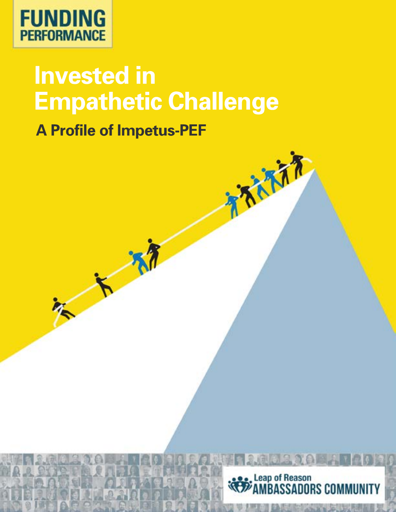

# **Invested in Empathetic Challenge**

**A Profile of Impetus-PEF**

 $\overline{\phantom{1}}$ 



TANTA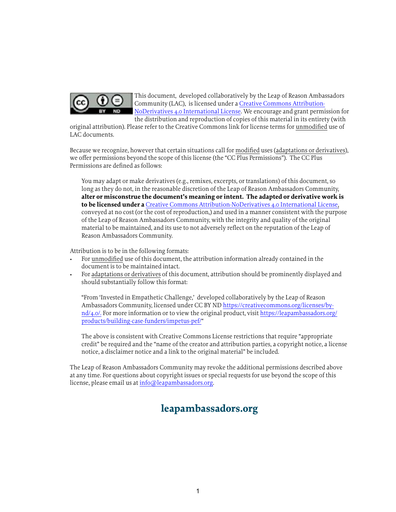

This document, developed collaboratively by the Leap of Reason Ambassadors Community (LAC), is licensed under a [Creative Commons Attribution-](https://creativecommons.org/licenses/by-nd/4.0/)[NoDerivatives 4.0 International License](https://creativecommons.org/licenses/by-nd/4.0/). We encourage and grant permission for the distribution and reproduction of copies of this material in its entirety (with

original attribution). Please refer to the Creative Commons link for license terms for unmodified use of LAC documents.

Because we recognize, however that certain situations call for modified uses (adaptations or derivatives), we offer permissions beyond the scope of this license (the "CC Plus Permissions"). The CC Plus Permissions are defined as follows:

You may adapt or make derivatives (e.g., remixes, excerpts, or translations) of this document, so long as they do not, in the reasonable discretion of the Leap of Reason Ambassadors Community, **alter or misconstrue the document's meaning or intent. The adapted or derivative work is to be licensed under a** [Creative Commons Attribution-NoDerivatives 4.0 International License](https://creativecommons.org/licenses/by-nd/4.0/), conveyed at no cost (or the cost of reproduction,) and used in a manner consistent with the purpose of the Leap of Reason Ambassadors Community, with the integrity and quality of the original material to be maintained, and its use to not adversely reflect on the reputation of the Leap of Reason Ambassadors Community.

Attribution is to be in the following formats:

- For unmodified use of this document, the attribution information already contained in the document is to be maintained intact.
- For adaptations or derivatives of this document, attribution should be prominently displayed and should substantially follow this format:

"From 'Invested in Empathetic Challenge,' developed collaboratively by the Leap of Reason Ambassadors Community, licensed under CC BY ND [https://creativecommons.org/licenses/by](https://creativecommons.org/licenses/by-nd/4.0/)[nd/4.0/.](https://creativecommons.org/licenses/by-nd/4.0/) For more information or to view the original product, visit [https://leapambassadors.org/](https://leapambassadors.org/products/building-case-funders/impetus-pef/) [products/building-case-funders/impetus-pef/](https://leapambassadors.org/products/building-case-funders/impetus-pef/)"

The above is consistent with Creative Commons License restrictions that require "appropriate credit" be required and the "name of the creator and attribution parties, a copyright notice, a license notice, a disclaimer notice and a link to the original material" be included.

The Leap of Reason Ambassadors Community may revoke the additional permissions described above at any time. For questions about copyright issues or special requests for use beyond the scope of this license, please email us at [info@leapambassadors.org](mailto:info%40leapambassadors.org?subject=).

# **leapambassadors.org**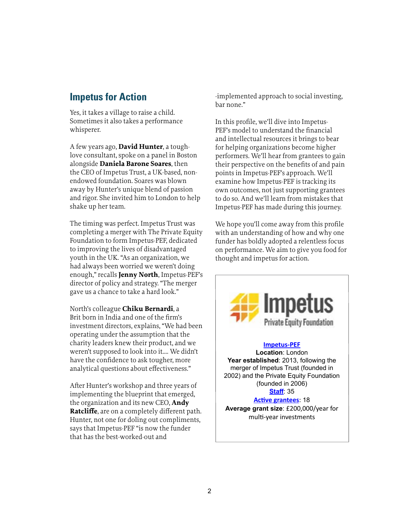### **Impetus for Action**

Yes, it takes a village to raise a child. Sometimes it also takes a performance whisperer.

A few years ago, **David Hunter**, a toughlove consultant, spoke on a panel in Boston alongside **Daniela Barone Soares**, then the CEO of Impetus Trust, a UK-based, nonendowed foundation. Soares was blown away by Hunter's unique blend of passion and rigor. She invited him to London to help shake up her team.

The timing was perfect. Impetus Trust was completing a merger with The Private Equity Foundation to form Impetus-PEF, dedicated to improving the lives of disadvantaged youth in the UK. "As an organization, we had always been worried we weren't doing enough," recalls **Jenny North**, Impetus-PEF's director of policy and strategy. "The merger gave us a chance to take a hard look."

North's colleague **Chiku Bernardi**, a Brit born in India and one of the firm's investment directors, explains, "We had been operating under the assumption that the charity leaders knew their product, and we weren't supposed to look into it…. We didn't have the confidence to ask tougher, more analytical questions about effectiveness."

After Hunter's workshop and three years of implementing the blueprint that emerged, the organization and its new CEO, **Andy Ratcliffe**, are on a completely different path. Hunter, not one for doling out compliments, says that Impetus-PEF "is now the funder that has the best-worked-out and

-implemented approach to social investing, bar none."

In this profile, we'll dive into Impetus-PEF's model to understand the financial and intellectual resources it brings to bear for helping organizations become higher performers. We'll hear from grantees to gain their perspective on the benefits of and pain points in Impetus-PEF's approach. We'll examine how Impetus-PEF is tracking its own outcomes, not just supporting grantees to do so. And we'll learn from mistakes that Impetus-PEF has made during this journey.

We hope you'll come away from this profile with an understanding of how and why one funder has boldly adopted a relentless focus on performance. We aim to give you food for thought and impetus for action.

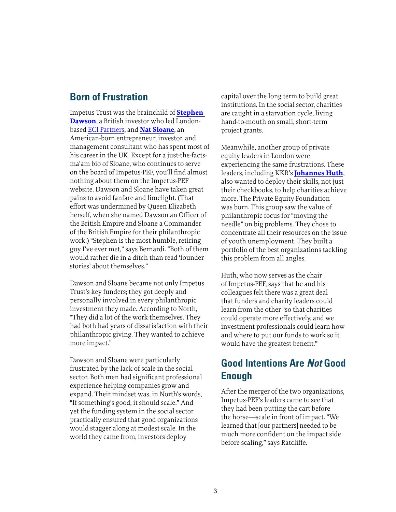#### **Born of Frustration**

Impetus Trust was the brainchild of **[Stephen](http://philanthropy.coutts.com/en/reports/2013/united-kingdom/case-studies/stephen-dawson.html#w4w5KoS2AhDKF1ww.99)  [Dawson](http://philanthropy.coutts.com/en/reports/2013/united-kingdom/case-studies/stephen-dawson.html#w4w5KoS2AhDKF1ww.99)**, a British investor who led Londonbased [ECI Partners](http://www.ecipartners.com/), and **[Nat Sloane](http://www.impetus-pef.org.uk/who-we-are/board-of-trustees/)**, an American-born entrepreneur, investor, and management consultant who has spent most of his career in the UK. Except for a just-the-factsma'am bio of Sloane, who continues to serve on the board of Impetus-PEF, you'll find almost nothing about them on the Impetus-PEF website. Dawson and Sloane have taken great pains to avoid fanfare and limelight. (That effort was undermined by Queen Elizabeth herself, when she named Dawson an Officer of the British Empire and Sloane a Commander of the British Empire for their philanthropic work.) "Stephen is the most humble, retiring guy I've ever met," says Bernardi. "Both of them would rather die in a ditch than read 'founder stories' about themselves."

Dawson and Sloane became not only Impetus Trust's key funders; they got deeply and personally involved in every philanthropic investment they made. According to North, "They did a lot of the work themselves. They had both had years of dissatisfaction with their philanthropic giving. They wanted to achieve more impact."

Dawson and Sloane were particularly frustrated by the lack of scale in the social sector. Both men had significant professional experience helping companies grow and expand. Their mindset was, in North's words, "If something's good, it should scale." And yet the funding system in the social sector practically ensured that good organizations would stagger along at modest scale. In the world they came from, investors deploy

capital over the long term to build great institutions. In the social sector, charities are caught in a starvation cycle, living hand-to-mouth on small, short-term project grants.

Meanwhile, another group of private equity leaders in London were experiencing the same frustrations. These leaders, including KKR's **[Johannes Huth](http://www.kkr.com/our-firm/leadership/johannes-huth)**, also wanted to deploy their skills, not just their checkbooks, to help charities achieve more. The Private Equity Foundation was born. This group saw the value of philanthropic focus for "moving the needle" on big problems. They chose to concentrate all their resources on the issue of youth unemployment. They built a portfolio of the best organizations tackling this problem from all angles.

Huth, who now serves as the chair of Impetus-PEF, says that he and his colleagues felt there was a great deal that funders and charity leaders could learn from the other "so that charities could operate more effectively, and we investment professionals could learn how and where to put our funds to work so it would have the greatest benefit."

#### **Good Intentions Are** *Not* **Good Enough**

After the merger of the two organizations, Impetus-PEF's leaders came to see that they had been putting the cart before the horse—scale in front of impact. "We learned that [our partners] needed to be much more confident on the impact side before scaling," says Ratcliffe.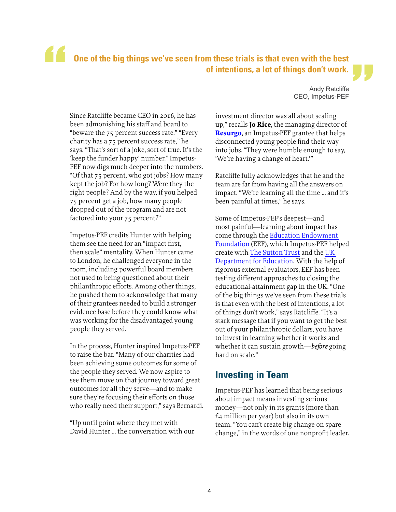# **One of the big things we've seen from these trials is that even with the best of intentions, a lot of things don't work.** "<br>"<br>"

Since Ratcliffe became CEO in 2016, he has been admonishing his staff and board to "beware the 75 percent success rate." "Every charity has a 75 percent success rate," he says. "That's sort of a joke, sort of true. It's the 'keep the funder happy' number." Impetus-PEF now digs much deeper into the numbers. "Of that 75 percent, who got jobs? How many kept the job? For how long? Were they the right people? And by the way, if you helped 75 percent get a job, how many people dropped out of the program and are not factored into your 75 percent?"

Impetus-PEF credits Hunter with helping them see the need for an "impact first, then scale" mentality. When Hunter came to London, he challenged everyone in the room, including powerful board members not used to being questioned about their philanthropic efforts. Among other things, he pushed them to acknowledge that many of their grantees needed to build a stronger evidence base before they could know what was working for the disadvantaged young people they served.

In the process, Hunter inspired Impetus-PEF to raise the bar. "Many of our charities had been achieving some outcomes for some of the people they served. We now aspire to see them move on that journey toward great outcomes for all they serve—and to make sure they're focusing their efforts on those who really need their support," says Bernardi.

"Up until point where they met with David Hunter … the conversation with our

 Andy Ratcliffe CEO, Impetus-PEF "

investment director was all about scaling up," recalls **Jo Rice**, the managing director of **[Resurgo](http://www.resurgo.org.uk/)**, an Impetus-PEF grantee that helps disconnected young people find their way into jobs. "They were humble enough to say, 'We're having a change of heart.'"

Ratcliffe fully acknowledges that he and the team are far from having all the answers on impact. "We're learning all the time … and it's been painful at times," he says.

Some of Impetus-PEF's deepest—and most painful—learning about impact has come through the [Education Endowment](https://educationendowmentfoundation.org.uk/)  [Foundation](https://educationendowmentfoundation.org.uk/) (EEF), which Impetus-PEF helped create with [The Sutton Trust](https://www.suttontrust.com/) and the [UK](https://www.gov.uk/government/organisations/department-for-education)  [Department for Education](https://www.gov.uk/government/organisations/department-for-education). With the help of rigorous external evaluators, EEF has been testing different approaches to closing the educational-attainment gap in the UK. "One of the big things we've seen from these trials is that even with the best of intentions, a lot of things don't work," says Ratcliffe. "It's a stark message that if you want to get the best out of your philanthropic dollars, you have to invest in learning whether it works and whether it can sustain growth—*before* going hard on scale."

#### **Investing in Team**

Impetus-PEF has learned that being serious about impact means investing serious money—not only in its grants (more than £4 million per year) but also in its own team. "You can't create big change on spare change," in the words of one nonprofit leader.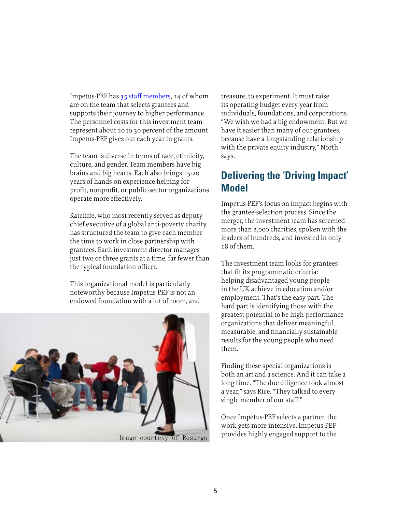Impetus-PEF has [35 staff members,](http://www.impetus-pef.org.uk/who-we-are/executive-team/) 14 of whom are on the team that selects grantees and supports their journey to higher performance. The personnel costs for this investment team represent about 20 to 30 percent of the amount Impetus-PEF gives out each year in grants.

The team is diverse in terms of race, ethnicity, culture, and gender. Team members have big brains and big hearts. Each also brings 15-20 years of hands-on experience helping forprofit, nonprofit, or public-sector organizations operate more effectively.

Ratcliffe, who most recently served as deputy chief executive of a global anti-poverty charity, has structured the team to give each member the time to work in close partnership with grantees. Each investment director manages just two or three grants at a time, far fewer than the typical foundation officer.

This organizational model is particularly noteworthy because Impetus-PEF is not an endowed foundation with a lot of room, and



treasure, to experiment. It must raise its operating budget every year from individuals, foundations, and corporations. "We wish we had a big endowment. But we have it easier than many of our grantees, because have a longstanding relationship with the private equity industry," North says.

### **Delivering the 'Driving Impact' Model**

Impetus-PEF's focus on impact begins with the grantee-selection process. Since the merger, the investment team has screened more than 2,000 charities, spoken with the leaders of hundreds, and invested in only 18 of them.

The investment team looks for grantees that fit its programmatic criteria: helping disadvantaged young people in the UK achieve in education and/or employment. That's the easy part. The hard part is identifying those with the greatest potential to be high-performance organizations that deliver meaningful, measurable, and financially sustainable results for the young people who need them.

Finding these special organizations is both an art and a science. And it can take a long time. "The due diligence took almost a year," says Rice. "They talked to every single member of our staff."

Once Impetus-PEF selects a partner, the work gets more intensive. Impetus-PEF provides highly engaged support to the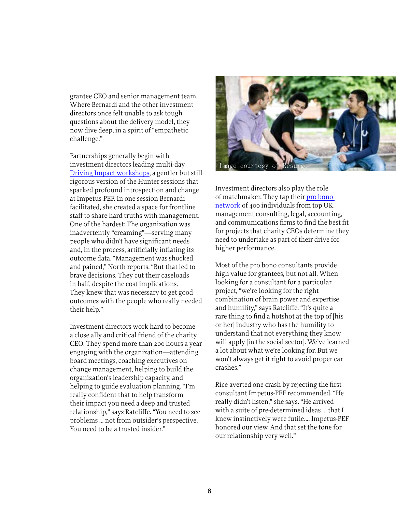grantee CEO and senior management team. Where Bernardi and the other investment directors once felt unable to ask tough questions about the delivery model, they now dive deep, in a spirit of "empathetic challenge."

Partnerships generally begin with investment directors leading multi-day [Driving Impact workshops](http://www.impetus-pef.org.uk/blog/driving-impact-workshops-four-days-that-redefine-a-charitys-impact/#.WXdHwtPytBx), a gentler but still rigorous version of the Hunter sessions that sparked profound introspection and change at Impetus-PEF. In one session Bernardi facilitated, she created a space for frontline staff to share hard truths with management. One of the hardest: The organization was inadvertently "creaming"—serving many people who didn't have significant needs and, in the process, artificially inflating its outcome data. "Management was shocked and pained," North reports. "But that led to brave decisions. They cut their caseloads in half, despite the cost implications. They knew that was necessary to get good outcomes with the people who really needed their help."

Investment directors work hard to become a close ally and critical friend of the charity CEO. They spend more than 200 hours a year engaging with the organization—attending board meetings, coaching executives on change management, helping to build the organization's leadership capacity, and helping to guide evaluation planning. "I'm really confident that to help transform their impact you need a deep and trusted relationship," says Ratcliffe. "You need to see problems … not from outsider's perspective. You need to be a trusted insider."



Investment directors also play the role of matchmaker. They tap their [pro bono](http://www.impetus-pef.org.uk/get-involved/contribute-skills/pro-bono-supporters/)  [network](http://www.impetus-pef.org.uk/get-involved/contribute-skills/pro-bono-supporters/) of 400 individuals from top UK management consulting, legal, accounting, and communications firms to find the best fit for projects that charity CEOs determine they need to undertake as part of their drive for higher performance.

Most of the pro bono consultants provide high value for grantees, but not all. When looking for a consultant for a particular project, "we're looking for the right combination of brain power and expertise and humility," says Ratcliffe. "It's quite a rare thing to find a hotshot at the top of [his or her] industry who has the humility to understand that not everything they know will apply [in the social sector]. We've learned a lot about what we're looking for. But we won't always get it right to avoid proper car crashes."

Rice averted one crash by rejecting the first consultant Impetus-PEF recommended. "He really didn't listen," she says. "He arrived with a suite of pre-determined ideas … that I knew instinctively were futile…. Impetus-PEF honored our view. And that set the tone for our relationship very well."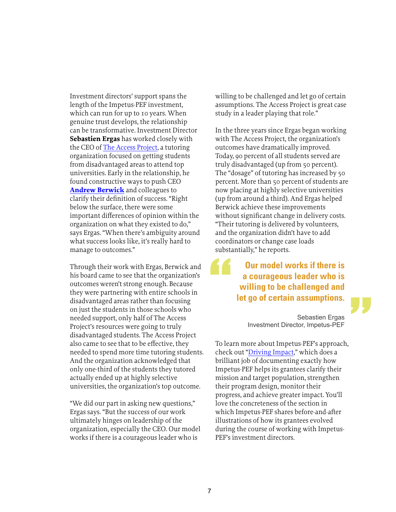Investment directors' support spans the length of the Impetus-PEF investment, which can run for up to 10 years. When genuine trust develops, the relationship can be transformative. Investment Director **Sebastien Ergas** has worked closely with the CEO of [The Access Project](http://www.theaccessproject.org.uk/), a tutoring organization focused on getting students from disadvantaged areas to attend top universities. Early in the relationship, he found constructive ways to push CEO **[Andrew Berwick](http://www.theaccessproject.org.uk/team_members/11)** and colleagues to clarify their definition of success. "Right below the surface, there were some important differences of opinion within the organization on what they existed to do," says Ergas. "When there's ambiguity around what success looks like, it's really hard to manage to outcomes."

Through their work with Ergas, Berwick and his board came to see that the organization's outcomes weren't strong enough. Because they were partnering with entire schools in disadvantaged areas rather than focusing on just the students in those schools who needed support, only half of The Access Project's resources were going to truly disadvantaged students. The Access Project also came to see that to be effective, they needed to spend more time tutoring students. And the organization acknowledged that only one-third of the students they tutored actually ended up at highly selective universities, the organization's top outcome.

"We did our part in asking new questions," Ergas says. "But the success of our work ultimately hinges on leadership of the organization, especially the CEO. Our model works if there is a courageous leader who is

willing to be challenged and let go of certain assumptions. The Access Project is great case study in a leader playing that role."

In the three years since Ergas began working with The Access Project, the organization's outcomes have dramatically improved. Today, 90 percent of all students served are truly disadvantaged (up from 50 percent). The "dosage" of tutoring has increased by 50 percent. More than 50 percent of students are now placing at highly selective universities (up from around a third). And Ergas helped Berwick achieve these improvements without significant change in delivery costs. "Their tutoring is delivered by volunteers, and the organization didn't have to add coordinators or change case loads substantially," he reports.

#### **Our model works if there is a courageous leader who is willing to be challenged and let go of certain assumptions.**

Sebastien Ergas Investment Director, Impetus-PEF "

To learn more about Impetus-PEF's approach, check out "[Driving Impact](http://www.impetus-pef.org.uk/wp-content/uploads/2016/11/2016-Driving-Impact-paper-FINAL-SINGLE-PAGE-SPREAD.pdf)," which does a brilliant job of documenting exactly how Impetus-PEF helps its grantees clarify their mission and target population, strengthen their program design, monitor their progress, and achieve greater impact. You'll love the concreteness of the section in which Impetus-PEF shares before-and-after illustrations of how its grantees evolved during the course of working with Impetus-PEF's investment directors.

"<br>"<br>"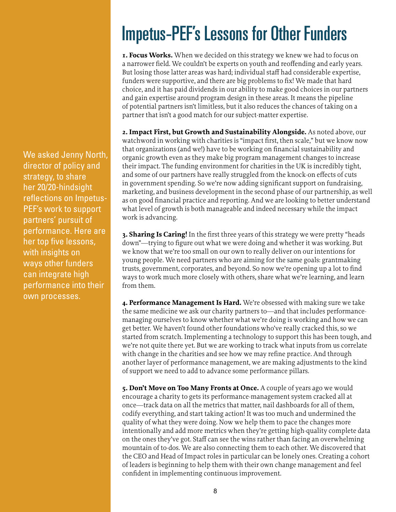We asked Jenny North, director of policy and strategy, to share her 20/20-hindsight reflections on Impetus-PEF's work to support partners' pursuit of performance. Here are her top five lessons, with insights on ways other funders can integrate high performance into their own processes.

# Impetus-PEF's Lessons for Other Funders

**1. Focus Works.** When we decided on this strategy we knew we had to focus on a narrower field. We couldn't be experts on youth and reoffending and early years. But losing those latter areas was hard; individual staff had considerable expertise, funders were supportive, and there are big problems to fix! We made that hard choice, and it has paid dividends in our ability to make good choices in our partners and gain expertise around program design in these areas. It means the pipeline of potential partners isn't limitless, but it also reduces the chances of taking on a partner that isn't a good match for our subject-matter expertise.

**2. Impact First, but Growth and Sustainability Alongside.** As noted above, our watchword in working with charities is "impact first, then scale," but we know now that organizations (and we!) have to be working on financial sustainability and organic growth even as they make big program management changes to increase their impact. The funding environment for charities in the UK is incredibly tight, and some of our partners have really struggled from the knock-on effects of cuts in government spending. So we're now adding significant support on fundraising, marketing, and business development in the second phase of our partnership, as well as on good financial practice and reporting. And we are looking to better understand what level of growth is both manageable and indeed necessary while the impact work is advancing.

**3. Sharing Is Caring!** In the first three years of this strategy we were pretty "heads down"—trying to figure out what we were doing and whether it was working. But we know that we're too small on our own to really deliver on our intentions for young people. We need partners who are aiming for the same goals: grantmaking trusts, government, corporates, and beyond. So now we're opening up a lot to find ways to work much more closely with others, share what we're learning, and learn from them.

**4. Performance Management Is Hard.** We're obsessed with making sure we take the same medicine we ask our charity partners to—and that includes performancemanaging ourselves to know whether what we're doing is working and how we can get better. We haven't found other foundations who've really cracked this, so we started from scratch. Implementing a technology to support this has been tough, and we're not quite there yet. But we are working to track what inputs from us correlate with change in the charities and see how we may refine practice. And through another layer of performance management, we are making adjustments to the kind of support we need to add to advance some performance pillars.

**5. Don't Move on Too Many Fronts at Once.** A couple of years ago we would encourage a charity to gets its performance-management system cracked all at once—track data on all the metrics that matter, nail dashboards for all of them, codify everything, and start taking action! It was too much and undermined the quality of what they were doing. Now we help them to pace the changes more intentionally and add more metrics when they're getting high-quality complete data on the ones they've got. Staff can see the wins rather than facing an overwhelming mountain of to-dos. We are also connecting them to each other. We discovered that the CEO and Head of Impact roles in particular can be lonely ones. Creating a cohort of leaders is beginning to help them with their own change management and feel confident in implementing continuous improvement.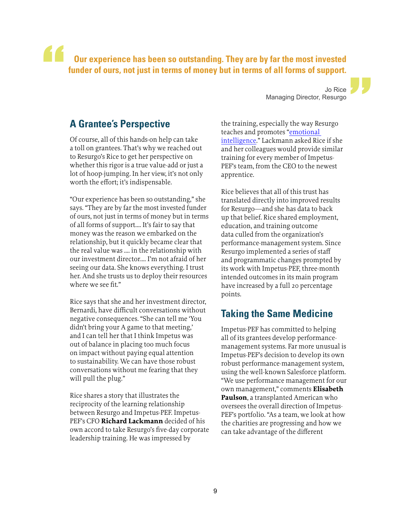#### **Our experience has been so outstanding. They are by far the most invested funder of ours, not just in terms of money but in terms of all forms of support.** "

Jo Rice Managing Director, Resurgo "

#### **A Grantee's Perspective**

Of course, all of this hands-on help can take a toll on grantees. That's why we reached out to Resurgo's Rice to get her perspective on whether this rigor is a true value-add or just a lot of hoop-jumping. In her view, it's not only worth the effort; it's indispensable.

"Our experience has been so outstanding," she says. "They are by far the most invested funder of ours, not just in terms of money but in terms of all forms of support…. It's fair to say that money was the reason we embarked on the relationship, but it quickly became clear that the real value was …. in the relationship with our investment director…. I'm not afraid of her seeing our data. She knows everything. I trust her. And she trusts us to deploy their resources where we see fit."

Rice says that she and her investment director, Bernardi, have difficult conversations without negative consequences. "She can tell me 'You didn't bring your A game to that meeting,' and I can tell her that I think Impetus was out of balance in placing too much focus on impact without paying equal attention to sustainability. We can have those robust conversations without me fearing that they will pull the plug."

Rice shares a story that illustrates the reciprocity of the learning relationship between Resurgo and Impetus-PEF. Impetus-PEF's CFO **Richard Lackmann** decided of his own accord to take Resurgo's five-day corporate leadership training. He was impressed by

the training, especially the way Resurgo teaches and promotes ["emotional](https://en.wikipedia.org/wiki/Emotional_intelligence)  [intelligence](https://en.wikipedia.org/wiki/Emotional_intelligence)." Lackmann asked Rice if she and her colleagues would provide similar training for every member of Impetus-PEF's team, from the CEO to the newest apprentice.

Rice believes that all of this trust has translated directly into improved results for Resurgo—and she has data to back up that belief. Rice shared employment, education, and training outcome data culled from the organization's performance-management system. Since Resurgo implemented a series of staff and programmatic changes prompted by its work with Impetus-PEF, three-month intended outcomes in its main program have increased by a full 20 percentage points.

#### **Taking the Same Medicine**

Impetus-PEF has committed to helping all of its grantees develop performancemanagement systems. Far more unusual is Impetus-PEF's decision to develop its own robust performance-management system, using the well-known Salesforce platform. "We use performance management for our own management," comments **Elisabeth Paulson**, a transplanted American who oversees the overall direction of Impetus-PEF's portfolio. "As a team, we look at how the charities are progressing and how we can take advantage of the different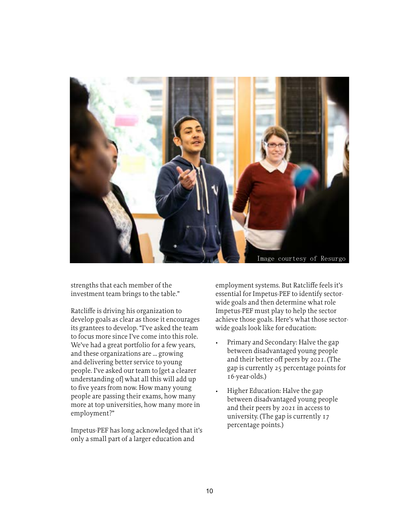

strengths that each member of the investment team brings to the table."

Ratcliffe is driving his organization to develop goals as clear as those it encourages its grantees to develop. "I've asked the team to focus more since I've come into this role. We've had a great portfolio for a few years, and these organizations are ... growing and delivering better service to young people. I've asked our team to [get a clearer understanding of] what all this will add up to five years from now. How many young people are passing their exams, how many more at top universities, how many more in employment?"

Impetus-PEF has long acknowledged that it's only a small part of a larger education and

employment systems. But Ratcliffe feels it's essential for Impetus-PEF to identify sectorwide goals and then determine what role Impetus-PEF must play to help the sector achieve those goals. Here's what those sectorwide goals look like for education:

- Primary and Secondary: Halve the gap between disadvantaged young people and their better-off peers by 2021. (The gap is currently 25 percentage points for 16-year-olds.)
- Higher Education: Halve the gap between disadvantaged young people and their peers by 2021 in access to university. (The gap is currently 17 percentage points.)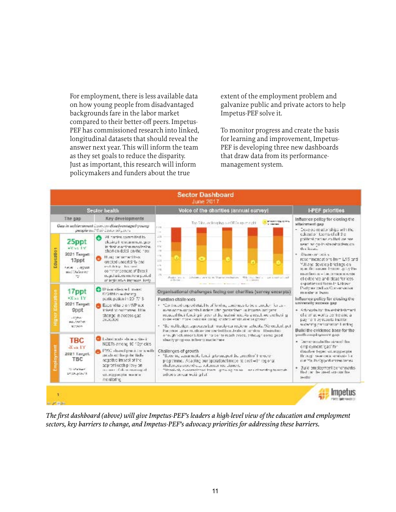For employment, there is less available data on how young people from disadvantaged backgrounds fare in the labor market compared to their better-off peers. Impetus-PEF has commissioned research into linked, longitudinal datasets that should reveal the answer next year. This will inform the team as they set goals to reduce the disparity. Just as important, this research will inform policymakers and funders about the true

extent of the employment problem and galvanize public and private actors to help Impetus-PEF solve it.

To monitor progress and create the basis for learning and improvement, Impetus-PEF is developing three new dashboards that draw data from its performancemanagement system.



*The first dashboard (above) will give Impetus-PEF's leaders a high-level view of the education and employment sectors, key barriers to change, and Impetus-PEF's advocacy priorities for addressing these barriers.*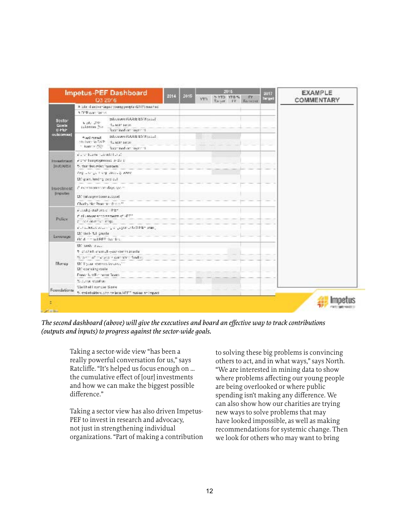|                        | <b>Impetus-PEF Dashboard</b><br>03/2016                                                                                                        | 2014 | 2015 | vm: | 2015<br>SYTO YTO'S | TY.<br>Targer, IV. Formora | <b>STE</b><br>Inrust | <b>EXAMPLE</b><br>COMMENTARY |
|------------------------|------------------------------------------------------------------------------------------------------------------------------------------------|------|------|-----|--------------------|----------------------------|----------------------|------------------------------|
|                        | A lote diseaser leges young people (DRT) mented                                                                                                |      |      |     |                    |                            |                      |                              |
|                        | 1 D'E contrarente                                                                                                                              |      |      |     |                    |                            |                      |                              |
| Stefar<br>Gombe<br>日本社 | Tuday NYSIS BSAUT (www.ulco<br>$4.247 - 219$<br>$A = 0.017, 0.0124$<br>off equitable:<br>Reserved on Doctor 11.                                |      |      |     |                    |                            |                      |                              |
| outcomies)             | school (GSE 85% scal)<br>hered has A<br>state visa alt. Shift di tradutti<br>$\sim$ lower of $\overline{\rm{Npc}}$<br>Restricted on: Restrict. |      |      |     |                    |                            |                      |                              |
|                        | is a three countries.                                                                                                                          |      |      |     |                    |                            |                      |                              |
| Important.             | A the leaguesmoods to the ti-                                                                                                                  |      |      |     |                    |                            |                      |                              |
| <b>JOURNALSE</b>       | 5. that fee mist "groown"                                                                                                                      |      |      |     |                    |                            |                      |                              |
|                        | Anglican go many passed provid-                                                                                                                |      |      |     |                    |                            |                      |                              |
|                        | EM grant, handing existing I                                                                                                                   |      |      |     |                    |                            |                      |                              |
| Investment.            | af incontractations days sports                                                                                                                |      |      |     |                    |                            |                      |                              |
| <b>Bingkolary</b>      | Independent toward with NY: 182.                                                                                                               |      |      |     |                    |                            |                      |                              |
|                        | Charly Net Program Section 11.                                                                                                                 |      |      |     |                    |                            |                      |                              |
|                        | Fording and the college.                                                                                                                       |      |      |     |                    |                            |                      |                              |
| Pelicy:                | during a second and continuous control.<br>process in the cargo.                                                                               |      |      |     |                    |                            |                      |                              |
|                        | electrical country of gagenerate them count-                                                                                                   |      |      |     |                    |                            |                      |                              |
| Liovanagai             | thing if dairy<br>利/d + = m1555 that for.                                                                                                      |      |      |     |                    |                            |                      |                              |
|                        | EX unb daily                                                                                                                                   |      |      |     |                    |                            |                      |                              |
|                        | alisated and sub-signals data in all                                                                                                           |      |      |     |                    |                            |                      |                              |
|                        | Start of materials complete finding                                                                                                            |      |      |     |                    |                            |                      |                              |
| Morrey                 | EN 8 your levennes bullares"<br>LE' coancing coole                                                                                             |      |      |     |                    |                            |                      |                              |
|                        | Front : Krit Fig. perce Scotto.                                                                                                                |      |      |     |                    |                            |                      |                              |
|                        | To Junear Angelban.                                                                                                                            |      |      |     |                    |                            |                      |                              |
|                        | <b>Stallheit cancer Some</b>                                                                                                                   |      |      |     |                    |                            |                      |                              |
| Foundations            | 5. stakeholders after this was HFFT makes an impact                                                                                            |      |      |     |                    |                            |                      |                              |

*The second dashboard (above) will give the executives and board an effective way to track contributions (outputs and inputs) to progress against the sector-wide goals.* 

Taking a sector-wide view "has been a really powerful conversation for us," says Ratcliffe. "It's helped us focus enough on … the cumulative effect of [our] investments and how we can make the biggest possible difference."

Taking a sector view has also driven Impetus-PEF to invest in research and advocacy, not just in strengthening individual organizations. "Part of making a contribution to solving these big problems is convincing others to act, and in what ways," says North. "We are interested in mining data to show where problems affecting our young people are being overlooked or where public spending isn't making any difference. We can also show how our charities are trying new ways to solve problems that may have looked impossible, as well as making recommendations for systemic change. Then we look for others who may want to bring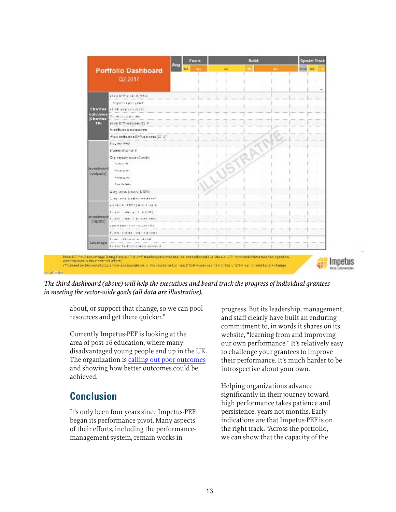| <b>Portfolio Dashboard</b><br>Q2 2017 |                                       | <b>CJ</b> | 24 | е | $\mathbf{G}$ | <b>Cities</b> DV |
|---------------------------------------|---------------------------------------|-----------|----|---|--------------|------------------|
|                                       |                                       |           |    |   |              |                  |
|                                       | E123 618 312-1714 0                   |           |    |   |              |                  |
|                                       | Digital Clipper growth                |           |    |   |              |                  |
| <b>Chart as</b>                       | <b>CLAP and CONSTRU</b>               |           |    |   |              |                  |
| culturas<br>(Charries)                | $2.495$ and $2.57$ and $2.59$         |           |    |   |              |                  |
| TP <sub>1</sub>                       | plan EPP-salesman@ G                  |           |    |   |              |                  |
|                                       | the users a control of                |           |    |   |              |                  |
|                                       | # extent feature DPP outcomes (2016)? |           |    |   |              |                  |
|                                       | $P_{\text{14g}}$ man (140).           |           |    |   |              |                  |
|                                       | triangularum/it                       |           |    |   |              |                  |
|                                       | Old veracity activities will          |           |    |   |              |                  |
|                                       | hannote.                              |           |    |   |              |                  |
| <b>BANKING</b><br>(outputs)           | Tours or                              |           |    |   |              |                  |
|                                       | Traffere mi                           |           |    |   |              |                  |
|                                       | President Market                      |           |    |   |              |                  |
|                                       | A 42 ALCAND AND A 12YE                |           |    |   |              |                  |
|                                       | Allegionna Sicilian weakened.         |           |    |   |              |                  |
|                                       | a you can stiffer [amount man).       |           |    |   |              |                  |
|                                       | Elgan colough Fut (FBS)               |           |    |   |              |                  |
| <b>IDVARIZING</b><br>(inputs)         | <b>P. SAN COMPLETED BAR FREE</b>      |           |    |   |              |                  |
|                                       | 6月以下清朝1月1日には、1月2日1日                   |           |    |   |              |                  |
|                                       | <b>Fowledge and the controllers</b>   |           |    |   |              |                  |
| <b>Livelenge</b>                      | however the company of the first      |           |    |   |              |                  |
|                                       | fix that to deliver, which we should  |           |    |   |              |                  |

*The third dashboard (above) will help the executives and board track the progress of individual grantees in meeting the sector-wide goals (all data are illustrative).*

about, or support that change, so we can pool resources and get there quicker."

Currently Impetus-PEF is looking at the area of post-16 education, where many disadvantaged young people end up in the UK. The organization is [calling out poor outcomes](http://www.impetus-pef.org.uk/wp-content/uploads/2017/03/2017-03-14_Impetus-PEF-Confronting-Crisis.pdf) and showing how better outcomes could be achieved.

# **Conclusion**

It's only been four years since Impetus-PEF began its performance pivot. Many aspects of their efforts, including the performancemanagement system, remain works in

progress. But its leadership, management, and staff clearly have built an enduring commitment to, in words it shares on its website, "learning from and improving our own performance." It's relatively easy to challenge your grantees to improve their performance. It's much harder to be introspective about your own.

Helping organizations advance significantly in their journey toward high performance takes patience and persistence, years not months. Early indications are that Impetus-PEF is on the right track. "Across the portfolio, we can show that the capacity of the